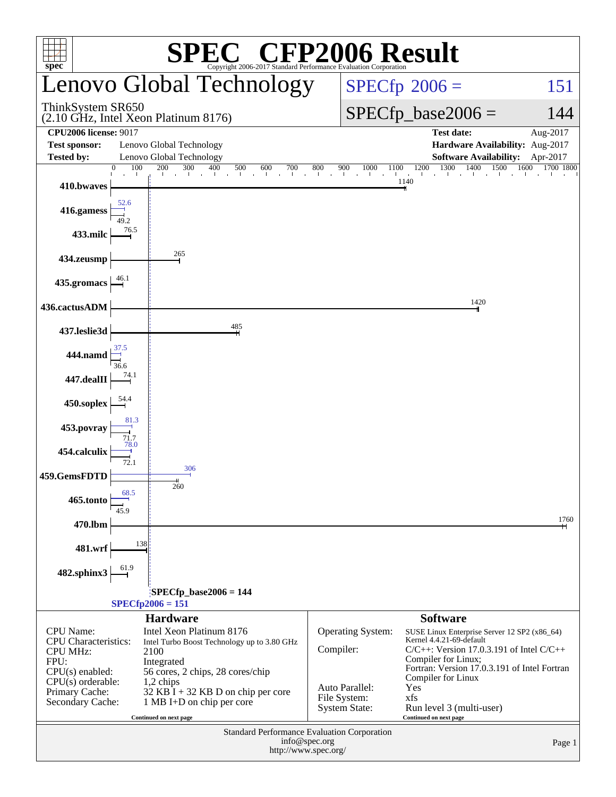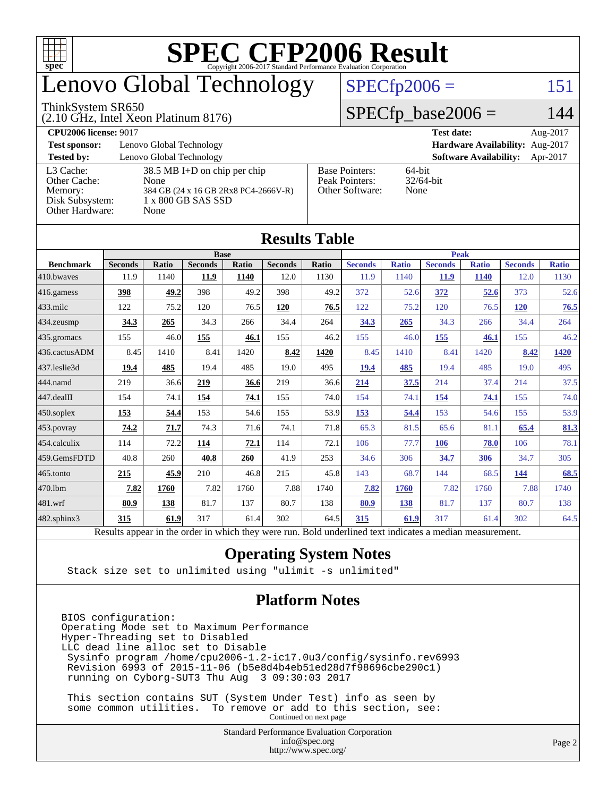

### enovo Global Technology

#### ThinkSystem SR650

(2.10 GHz, Intel Xeon Platinum 8176)

 $SPECfp2006 = 151$  $SPECfp2006 = 151$ 

#### $SPECfp\_base2006 = 144$

| <b>CPU2006 license: 9017</b> |                                      |                                 | <b>Test date:</b><br>Aug-2017             |  |  |  |
|------------------------------|--------------------------------------|---------------------------------|-------------------------------------------|--|--|--|
| <b>Test sponsor:</b>         | Lenovo Global Technology             | Hardware Availability: Aug-2017 |                                           |  |  |  |
| <b>Tested by:</b>            | Lenovo Global Technology             |                                 | <b>Software Availability:</b><br>Apr-2017 |  |  |  |
| L3 Cache:                    | $38.5$ MB I+D on chip per chip       | <b>Base Pointers:</b>           | $64$ -bit                                 |  |  |  |
| Other Cache:                 | None                                 | Peak Pointers:                  | $32/64$ -bit                              |  |  |  |
| Memory:                      | 384 GB (24 x 16 GB 2Rx8 PC4-2666V-R) | Other Software:                 | None                                      |  |  |  |
| Disk Subsystem:              | 1 x 800 GB SAS SSD                   |                                 |                                           |  |  |  |
| Other Hardware:              | None                                 |                                 |                                           |  |  |  |

**[Results Table](http://www.spec.org/auto/cpu2006/Docs/result-fields.html#ResultsTable)**

|                        | Results Table                                                                                            |       |                |              |                |       |                |              |                |              |                |              |
|------------------------|----------------------------------------------------------------------------------------------------------|-------|----------------|--------------|----------------|-------|----------------|--------------|----------------|--------------|----------------|--------------|
| <b>Base</b>            |                                                                                                          |       |                |              |                |       | <b>Peak</b>    |              |                |              |                |              |
| <b>Benchmark</b>       | <b>Seconds</b>                                                                                           | Ratio | <b>Seconds</b> | <b>Ratio</b> | <b>Seconds</b> | Ratio | <b>Seconds</b> | <b>Ratio</b> | <b>Seconds</b> | <b>Ratio</b> | <b>Seconds</b> | <b>Ratio</b> |
| 410.bwaves             | 11.9                                                                                                     | 1140  | 11.9           | 1140         | 12.0           | 1130  | 11.9           | 1140         | <b>11.9</b>    | <b>1140</b>  | 12.0           | 1130         |
| $ 416$ .gamess         | 398                                                                                                      | 49.2  | 398            | 49.2         | 398            | 49.2  | 372            | 52.6         | 372            | 52.6         | 373            | 52.6         |
| $433$ .milc            | 122                                                                                                      | 75.2  | 120            | 76.5         | 120            | 76.5  | 122            | 75.2         | 120            | 76.5         | <b>120</b>     | 76.5         |
| 434.zeusmp             | 34.3                                                                                                     | 265   | 34.3           | 266          | 34.4           | 264   | 34.3           | 265          | 34.3           | 266          | 34.4           | 264          |
| 435.gromacs            | 155                                                                                                      | 46.0  | 155            | 46.1         | 155            | 46.2  | 155            | 46.0         | 155            | 46.1         | 155            | 46.2         |
| 436.cactusADM          | 8.45                                                                                                     | 1410  | 8.41           | 1420         | 8.42           | 1420  | 8.45           | 1410         | 8.41           | 1420         | 8.42           | 1420         |
| 437.leslie3d           | 19.4                                                                                                     | 485   | 19.4           | 485          | 19.0           | 495   | 19.4           | 485          | 19.4           | 485          | 19.0           | 495          |
| 444.namd               | 219                                                                                                      | 36.6  | 219            | 36.6         | 219            | 36.6  | 214            | 37.5         | 214            | 37.4         | 214            | 37.5         |
| $ 447 \text{.}$ dealII | 154                                                                                                      | 74.1  | 154            | 74.1         | 155            | 74.0  | 154            | 74.1         | 154            | 74.1         | 155            | 74.0         |
| $450$ .soplex          | 153                                                                                                      | 54.4  | 153            | 54.6         | 155            | 53.9  | 153            | 54.4         | 153            | 54.6         | 155            | 53.9         |
| $453$ .povray          | 74.2                                                                                                     | 71.7  | 74.3           | 71.6         | 74.1           | 71.8  | 65.3           | 81.5         | 65.6           | 81.1         | 65.4           | 81.3         |
| $ 454$ .calculix       | 114                                                                                                      | 72.2  | 114            | 72.1         | 114            | 72.1  | 106            | 77.7         | 106            | 78.0         | 106            | 78.1         |
| 459.GemsFDTD           | 40.8                                                                                                     | 260   | 40.8           | 260          | 41.9           | 253   | 34.6           | 306          | 34.7           | 306          | 34.7           | 305          |
| $465$ .tonto           | 215                                                                                                      | 45.9  | 210            | 46.8         | 215            | 45.8  | 143            | 68.7         | 144            | 68.5         | 144            | 68.5         |
| 470.1bm                | 7.82                                                                                                     | 1760  | 7.82           | 1760         | 7.88           | 1740  | 7.82           | 1760         | 7.82           | 1760         | 7.88           | 1740         |
| $ 481$ .wrf            | 80.9                                                                                                     | 138   | 81.7           | 137          | 80.7           | 138   | 80.9           | 138          | 81.7           | 137          | 80.7           | 138          |
| $482$ .sphinx $3$      | 315                                                                                                      | 61.9  | 317            | 61.4         | 302            | 64.5  | 315            | 61.9         | 317            | 61.4         | 302            | 64.5         |
|                        | Results appear in the order in which they were run. Bold underlined text indicates a median measurement. |       |                |              |                |       |                |              |                |              |                |              |

#### **[Operating System Notes](http://www.spec.org/auto/cpu2006/Docs/result-fields.html#OperatingSystemNotes)**

Stack size set to unlimited using "ulimit -s unlimited"

#### **[Platform Notes](http://www.spec.org/auto/cpu2006/Docs/result-fields.html#PlatformNotes)**

BIOS configuration: Operating Mode set to Maximum Performance Hyper-Threading set to Disabled LLC dead line alloc set to Disable Sysinfo program /home/cpu2006-1.2-ic17.0u3/config/sysinfo.rev6993 Revision 6993 of 2015-11-06 (b5e8d4b4eb51ed28d7f98696cbe290c1) running on Cyborg-SUT3 Thu Aug 3 09:30:03 2017

 This section contains SUT (System Under Test) info as seen by some common utilities. To remove or add to this section, see: Continued on next page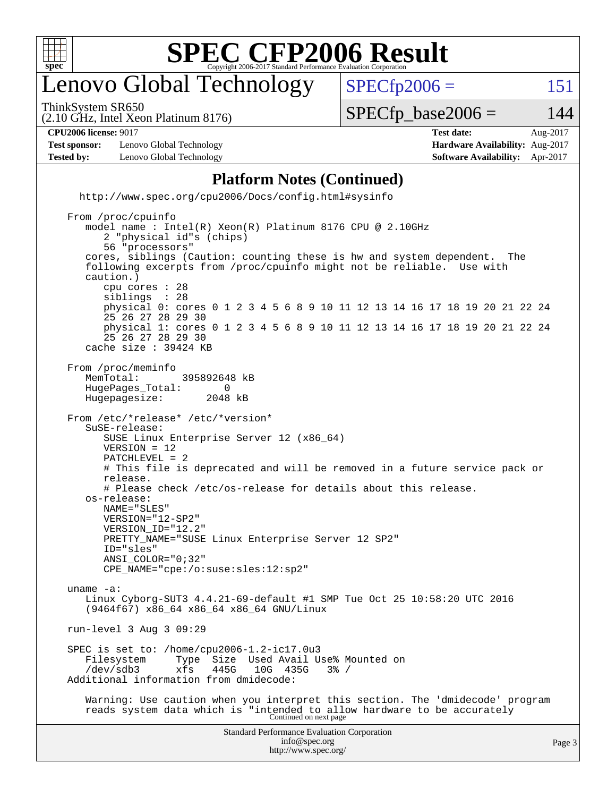

#### enovo Global Technology

ThinkSystem SR650

 $SPECTp2006 = 151$ 

(2.10 GHz, Intel Xeon Platinum 8176)

 $SPECTp\_base2006 = 144$ 

**[CPU2006 license:](http://www.spec.org/auto/cpu2006/Docs/result-fields.html#CPU2006license)** 9017 **[Test date:](http://www.spec.org/auto/cpu2006/Docs/result-fields.html#Testdate)** Aug-2017

**[Test sponsor:](http://www.spec.org/auto/cpu2006/Docs/result-fields.html#Testsponsor)** Lenovo Global Technology **[Hardware Availability:](http://www.spec.org/auto/cpu2006/Docs/result-fields.html#HardwareAvailability)** Aug-2017 **[Tested by:](http://www.spec.org/auto/cpu2006/Docs/result-fields.html#Testedby)** Lenovo Global Technology **[Software Availability:](http://www.spec.org/auto/cpu2006/Docs/result-fields.html#SoftwareAvailability)** Apr-2017

#### **[Platform Notes \(Continued\)](http://www.spec.org/auto/cpu2006/Docs/result-fields.html#PlatformNotes)**

 <http://www.spec.org/cpu2006/Docs/config.html#sysinfo> From /proc/cpuinfo model name : Intel(R) Xeon(R) Platinum 8176 CPU @ 2.10GHz 2 "physical id"s (chips) 56 "processors" cores, siblings (Caution: counting these is hw and system dependent. The following excerpts from /proc/cpuinfo might not be reliable. Use with caution.) cpu cores : 28 siblings physical 0: cores 0 1 2 3 4 5 6 8 9 10 11 12 13 14 16 17 18 19 20 21 22 24 25 26 27 28 29 30 physical 1: cores 0 1 2 3 4 5 6 8 9 10 11 12 13 14 16 17 18 19 20 21 22 24 25 26 27 28 29 30 cache size : 39424 KB From /proc/meminfo MemTotal: 395892648 kB<br>HugePages Total: 0 HugePages\_Total: 0 Hugepagesize: 2048 kB From /etc/\*release\* /etc/\*version\* SuSE-release: SUSE Linux Enterprise Server 12 (x86\_64) VERSION = 12 PATCHLEVEL = 2 # This file is deprecated and will be removed in a future service pack or release. # Please check /etc/os-release for details about this release. os-release: NAME="SLES" VERSION="12-SP2" VERSION\_ID="12.2" PRETTY\_NAME="SUSE Linux Enterprise Server 12 SP2" ID="sles" ANSI\_COLOR="0;32" CPE\_NAME="cpe:/o:suse:sles:12:sp2" uname -a: Linux Cyborg-SUT3 4.4.21-69-default #1 SMP Tue Oct 25 10:58:20 UTC 2016 (9464f67) x86\_64 x86\_64 x86\_64 GNU/Linux run-level 3 Aug 3 09:29 SPEC is set to: /home/cpu2006-1.2-ic17.0u3 Filesystem Type Size Used Avail Use% Mounted on<br>
/dev/sdb3 xfs 445G 10G 435G 3% / /dev/sdb3 xfs 445G 10G 435G 3% / Additional information from dmidecode: Warning: Use caution when you interpret this section. The 'dmidecode' program reads system data which is "intended to allow hardware to be accurately Continued on next page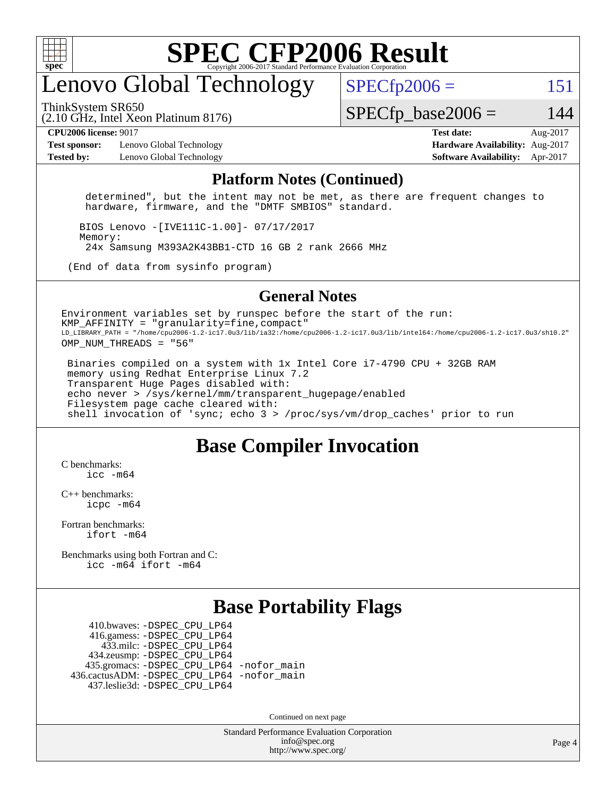

#### enovo Global Technology

ThinkSystem SR650

 $SPECfp2006 = 151$  $SPECfp2006 = 151$ 

(2.10 GHz, Intel Xeon Platinum 8176)

 $SPECTp\_base2006 = 144$ 

**[Test sponsor:](http://www.spec.org/auto/cpu2006/Docs/result-fields.html#Testsponsor)** Lenovo Global Technology **[Hardware Availability:](http://www.spec.org/auto/cpu2006/Docs/result-fields.html#HardwareAvailability)** Aug-2017 **[Tested by:](http://www.spec.org/auto/cpu2006/Docs/result-fields.html#Testedby)** Lenovo Global Technology **[Software Availability:](http://www.spec.org/auto/cpu2006/Docs/result-fields.html#SoftwareAvailability)** Apr-2017

**[CPU2006 license:](http://www.spec.org/auto/cpu2006/Docs/result-fields.html#CPU2006license)** 9017 **[Test date:](http://www.spec.org/auto/cpu2006/Docs/result-fields.html#Testdate)** Aug-2017

#### **[Platform Notes \(Continued\)](http://www.spec.org/auto/cpu2006/Docs/result-fields.html#PlatformNotes)**

 determined", but the intent may not be met, as there are frequent changes to hardware, firmware, and the "DMTF SMBIOS" standard.

 BIOS Lenovo -[IVE111C-1.00]- 07/17/2017 Memory: 24x Samsung M393A2K43BB1-CTD 16 GB 2 rank 2666 MHz

(End of data from sysinfo program)

#### **[General Notes](http://www.spec.org/auto/cpu2006/Docs/result-fields.html#GeneralNotes)**

Environment variables set by runspec before the start of the run:  $KMP$  AFFINITY = "granularity=fine, compact" LD\_LIBRARY\_PATH = "/home/cpu2006-1.2-ic17.0u3/lib/ia32:/home/cpu2006-1.2-ic17.0u3/lib/intel64:/home/cpu2006-1.2-ic17.0u3/sh10.2" OMP\_NUM\_THREADS = "56"

 Binaries compiled on a system with 1x Intel Core i7-4790 CPU + 32GB RAM memory using Redhat Enterprise Linux 7.2 Transparent Huge Pages disabled with: echo never > /sys/kernel/mm/transparent\_hugepage/enabled Filesystem page cache cleared with: shell invocation of 'sync; echo 3 > /proc/sys/vm/drop\_caches' prior to run

#### **[Base Compiler Invocation](http://www.spec.org/auto/cpu2006/Docs/result-fields.html#BaseCompilerInvocation)**

[C benchmarks](http://www.spec.org/auto/cpu2006/Docs/result-fields.html#Cbenchmarks): [icc -m64](http://www.spec.org/cpu2006/results/res2017q4/cpu2006-20170918-49803.flags.html#user_CCbase_intel_icc_64bit_bda6cc9af1fdbb0edc3795bac97ada53)

[C++ benchmarks:](http://www.spec.org/auto/cpu2006/Docs/result-fields.html#CXXbenchmarks) [icpc -m64](http://www.spec.org/cpu2006/results/res2017q4/cpu2006-20170918-49803.flags.html#user_CXXbase_intel_icpc_64bit_fc66a5337ce925472a5c54ad6a0de310)

[Fortran benchmarks](http://www.spec.org/auto/cpu2006/Docs/result-fields.html#Fortranbenchmarks): [ifort -m64](http://www.spec.org/cpu2006/results/res2017q4/cpu2006-20170918-49803.flags.html#user_FCbase_intel_ifort_64bit_ee9d0fb25645d0210d97eb0527dcc06e)

[Benchmarks using both Fortran and C](http://www.spec.org/auto/cpu2006/Docs/result-fields.html#BenchmarksusingbothFortranandC): [icc -m64](http://www.spec.org/cpu2006/results/res2017q4/cpu2006-20170918-49803.flags.html#user_CC_FCbase_intel_icc_64bit_bda6cc9af1fdbb0edc3795bac97ada53) [ifort -m64](http://www.spec.org/cpu2006/results/res2017q4/cpu2006-20170918-49803.flags.html#user_CC_FCbase_intel_ifort_64bit_ee9d0fb25645d0210d97eb0527dcc06e)

#### **[Base Portability Flags](http://www.spec.org/auto/cpu2006/Docs/result-fields.html#BasePortabilityFlags)**

 410.bwaves: [-DSPEC\\_CPU\\_LP64](http://www.spec.org/cpu2006/results/res2017q4/cpu2006-20170918-49803.flags.html#suite_basePORTABILITY410_bwaves_DSPEC_CPU_LP64) 416.gamess: [-DSPEC\\_CPU\\_LP64](http://www.spec.org/cpu2006/results/res2017q4/cpu2006-20170918-49803.flags.html#suite_basePORTABILITY416_gamess_DSPEC_CPU_LP64) 433.milc: [-DSPEC\\_CPU\\_LP64](http://www.spec.org/cpu2006/results/res2017q4/cpu2006-20170918-49803.flags.html#suite_basePORTABILITY433_milc_DSPEC_CPU_LP64) 434.zeusmp: [-DSPEC\\_CPU\\_LP64](http://www.spec.org/cpu2006/results/res2017q4/cpu2006-20170918-49803.flags.html#suite_basePORTABILITY434_zeusmp_DSPEC_CPU_LP64) 435.gromacs: [-DSPEC\\_CPU\\_LP64](http://www.spec.org/cpu2006/results/res2017q4/cpu2006-20170918-49803.flags.html#suite_basePORTABILITY435_gromacs_DSPEC_CPU_LP64) [-nofor\\_main](http://www.spec.org/cpu2006/results/res2017q4/cpu2006-20170918-49803.flags.html#user_baseLDPORTABILITY435_gromacs_f-nofor_main) 436.cactusADM: [-DSPEC\\_CPU\\_LP64](http://www.spec.org/cpu2006/results/res2017q4/cpu2006-20170918-49803.flags.html#suite_basePORTABILITY436_cactusADM_DSPEC_CPU_LP64) [-nofor\\_main](http://www.spec.org/cpu2006/results/res2017q4/cpu2006-20170918-49803.flags.html#user_baseLDPORTABILITY436_cactusADM_f-nofor_main) 437.leslie3d: [-DSPEC\\_CPU\\_LP64](http://www.spec.org/cpu2006/results/res2017q4/cpu2006-20170918-49803.flags.html#suite_basePORTABILITY437_leslie3d_DSPEC_CPU_LP64)

Continued on next page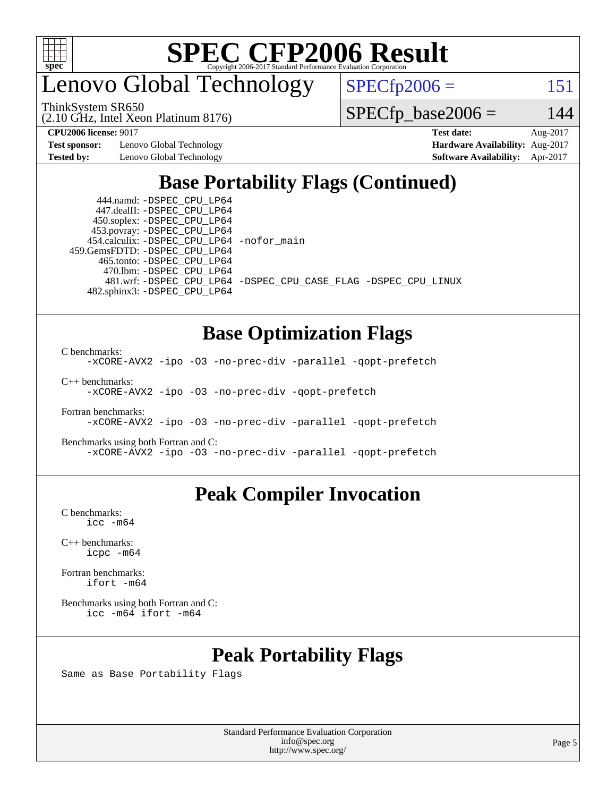

enovo Global Technology

ThinkSystem SR650

(2.10 GHz, Intel Xeon Platinum 8176)

 $SPECTp2006 = 151$ 

 $SPECTp\_base2006 = 144$ 

**[Test sponsor:](http://www.spec.org/auto/cpu2006/Docs/result-fields.html#Testsponsor)** Lenovo Global Technology **[Hardware Availability:](http://www.spec.org/auto/cpu2006/Docs/result-fields.html#HardwareAvailability)** Aug-2017

**[CPU2006 license:](http://www.spec.org/auto/cpu2006/Docs/result-fields.html#CPU2006license)** 9017 **[Test date:](http://www.spec.org/auto/cpu2006/Docs/result-fields.html#Testdate)** Aug-2017 **[Tested by:](http://www.spec.org/auto/cpu2006/Docs/result-fields.html#Testedby)** Lenovo Global Technology **[Software Availability:](http://www.spec.org/auto/cpu2006/Docs/result-fields.html#SoftwareAvailability)** Apr-2017

#### **[Base Portability Flags \(Continued\)](http://www.spec.org/auto/cpu2006/Docs/result-fields.html#BasePortabilityFlags)**

 444.namd: [-DSPEC\\_CPU\\_LP64](http://www.spec.org/cpu2006/results/res2017q4/cpu2006-20170918-49803.flags.html#suite_basePORTABILITY444_namd_DSPEC_CPU_LP64) 447.dealII: [-DSPEC\\_CPU\\_LP64](http://www.spec.org/cpu2006/results/res2017q4/cpu2006-20170918-49803.flags.html#suite_basePORTABILITY447_dealII_DSPEC_CPU_LP64) 450.soplex: [-DSPEC\\_CPU\\_LP64](http://www.spec.org/cpu2006/results/res2017q4/cpu2006-20170918-49803.flags.html#suite_basePORTABILITY450_soplex_DSPEC_CPU_LP64) 453.povray: [-DSPEC\\_CPU\\_LP64](http://www.spec.org/cpu2006/results/res2017q4/cpu2006-20170918-49803.flags.html#suite_basePORTABILITY453_povray_DSPEC_CPU_LP64) 454.calculix: [-DSPEC\\_CPU\\_LP64](http://www.spec.org/cpu2006/results/res2017q4/cpu2006-20170918-49803.flags.html#suite_basePORTABILITY454_calculix_DSPEC_CPU_LP64) [-nofor\\_main](http://www.spec.org/cpu2006/results/res2017q4/cpu2006-20170918-49803.flags.html#user_baseLDPORTABILITY454_calculix_f-nofor_main) 459.GemsFDTD: [-DSPEC\\_CPU\\_LP64](http://www.spec.org/cpu2006/results/res2017q4/cpu2006-20170918-49803.flags.html#suite_basePORTABILITY459_GemsFDTD_DSPEC_CPU_LP64) 465.tonto: [-DSPEC\\_CPU\\_LP64](http://www.spec.org/cpu2006/results/res2017q4/cpu2006-20170918-49803.flags.html#suite_basePORTABILITY465_tonto_DSPEC_CPU_LP64) 470.lbm: [-DSPEC\\_CPU\\_LP64](http://www.spec.org/cpu2006/results/res2017q4/cpu2006-20170918-49803.flags.html#suite_basePORTABILITY470_lbm_DSPEC_CPU_LP64) 482.sphinx3: [-DSPEC\\_CPU\\_LP64](http://www.spec.org/cpu2006/results/res2017q4/cpu2006-20170918-49803.flags.html#suite_basePORTABILITY482_sphinx3_DSPEC_CPU_LP64)

481.wrf: [-DSPEC\\_CPU\\_LP64](http://www.spec.org/cpu2006/results/res2017q4/cpu2006-20170918-49803.flags.html#suite_basePORTABILITY481_wrf_DSPEC_CPU_LP64) [-DSPEC\\_CPU\\_CASE\\_FLAG](http://www.spec.org/cpu2006/results/res2017q4/cpu2006-20170918-49803.flags.html#b481.wrf_baseCPORTABILITY_DSPEC_CPU_CASE_FLAG) [-DSPEC\\_CPU\\_LINUX](http://www.spec.org/cpu2006/results/res2017q4/cpu2006-20170918-49803.flags.html#b481.wrf_baseCPORTABILITY_DSPEC_CPU_LINUX)

#### **[Base Optimization Flags](http://www.spec.org/auto/cpu2006/Docs/result-fields.html#BaseOptimizationFlags)**

[C benchmarks](http://www.spec.org/auto/cpu2006/Docs/result-fields.html#Cbenchmarks):

[-xCORE-AVX2](http://www.spec.org/cpu2006/results/res2017q4/cpu2006-20170918-49803.flags.html#user_CCbase_f-xCORE-AVX2) [-ipo](http://www.spec.org/cpu2006/results/res2017q4/cpu2006-20170918-49803.flags.html#user_CCbase_f-ipo) [-O3](http://www.spec.org/cpu2006/results/res2017q4/cpu2006-20170918-49803.flags.html#user_CCbase_f-O3) [-no-prec-div](http://www.spec.org/cpu2006/results/res2017q4/cpu2006-20170918-49803.flags.html#user_CCbase_f-no-prec-div) [-parallel](http://www.spec.org/cpu2006/results/res2017q4/cpu2006-20170918-49803.flags.html#user_CCbase_f-parallel) [-qopt-prefetch](http://www.spec.org/cpu2006/results/res2017q4/cpu2006-20170918-49803.flags.html#user_CCbase_f-qopt-prefetch)

[C++ benchmarks:](http://www.spec.org/auto/cpu2006/Docs/result-fields.html#CXXbenchmarks) [-xCORE-AVX2](http://www.spec.org/cpu2006/results/res2017q4/cpu2006-20170918-49803.flags.html#user_CXXbase_f-xCORE-AVX2) [-ipo](http://www.spec.org/cpu2006/results/res2017q4/cpu2006-20170918-49803.flags.html#user_CXXbase_f-ipo) [-O3](http://www.spec.org/cpu2006/results/res2017q4/cpu2006-20170918-49803.flags.html#user_CXXbase_f-O3) [-no-prec-div](http://www.spec.org/cpu2006/results/res2017q4/cpu2006-20170918-49803.flags.html#user_CXXbase_f-no-prec-div) [-qopt-prefetch](http://www.spec.org/cpu2006/results/res2017q4/cpu2006-20170918-49803.flags.html#user_CXXbase_f-qopt-prefetch)

[Fortran benchmarks](http://www.spec.org/auto/cpu2006/Docs/result-fields.html#Fortranbenchmarks): [-xCORE-AVX2](http://www.spec.org/cpu2006/results/res2017q4/cpu2006-20170918-49803.flags.html#user_FCbase_f-xCORE-AVX2) [-ipo](http://www.spec.org/cpu2006/results/res2017q4/cpu2006-20170918-49803.flags.html#user_FCbase_f-ipo) [-O3](http://www.spec.org/cpu2006/results/res2017q4/cpu2006-20170918-49803.flags.html#user_FCbase_f-O3) [-no-prec-div](http://www.spec.org/cpu2006/results/res2017q4/cpu2006-20170918-49803.flags.html#user_FCbase_f-no-prec-div) [-parallel](http://www.spec.org/cpu2006/results/res2017q4/cpu2006-20170918-49803.flags.html#user_FCbase_f-parallel) [-qopt-prefetch](http://www.spec.org/cpu2006/results/res2017q4/cpu2006-20170918-49803.flags.html#user_FCbase_f-qopt-prefetch)

[Benchmarks using both Fortran and C](http://www.spec.org/auto/cpu2006/Docs/result-fields.html#BenchmarksusingbothFortranandC): [-xCORE-AVX2](http://www.spec.org/cpu2006/results/res2017q4/cpu2006-20170918-49803.flags.html#user_CC_FCbase_f-xCORE-AVX2) [-ipo](http://www.spec.org/cpu2006/results/res2017q4/cpu2006-20170918-49803.flags.html#user_CC_FCbase_f-ipo) [-O3](http://www.spec.org/cpu2006/results/res2017q4/cpu2006-20170918-49803.flags.html#user_CC_FCbase_f-O3) [-no-prec-div](http://www.spec.org/cpu2006/results/res2017q4/cpu2006-20170918-49803.flags.html#user_CC_FCbase_f-no-prec-div) [-parallel](http://www.spec.org/cpu2006/results/res2017q4/cpu2006-20170918-49803.flags.html#user_CC_FCbase_f-parallel) [-qopt-prefetch](http://www.spec.org/cpu2006/results/res2017q4/cpu2006-20170918-49803.flags.html#user_CC_FCbase_f-qopt-prefetch)

#### **[Peak Compiler Invocation](http://www.spec.org/auto/cpu2006/Docs/result-fields.html#PeakCompilerInvocation)**

[C benchmarks](http://www.spec.org/auto/cpu2006/Docs/result-fields.html#Cbenchmarks): [icc -m64](http://www.spec.org/cpu2006/results/res2017q4/cpu2006-20170918-49803.flags.html#user_CCpeak_intel_icc_64bit_bda6cc9af1fdbb0edc3795bac97ada53)

[C++ benchmarks:](http://www.spec.org/auto/cpu2006/Docs/result-fields.html#CXXbenchmarks) [icpc -m64](http://www.spec.org/cpu2006/results/res2017q4/cpu2006-20170918-49803.flags.html#user_CXXpeak_intel_icpc_64bit_fc66a5337ce925472a5c54ad6a0de310)

[Fortran benchmarks](http://www.spec.org/auto/cpu2006/Docs/result-fields.html#Fortranbenchmarks): [ifort -m64](http://www.spec.org/cpu2006/results/res2017q4/cpu2006-20170918-49803.flags.html#user_FCpeak_intel_ifort_64bit_ee9d0fb25645d0210d97eb0527dcc06e)

[Benchmarks using both Fortran and C](http://www.spec.org/auto/cpu2006/Docs/result-fields.html#BenchmarksusingbothFortranandC): [icc -m64](http://www.spec.org/cpu2006/results/res2017q4/cpu2006-20170918-49803.flags.html#user_CC_FCpeak_intel_icc_64bit_bda6cc9af1fdbb0edc3795bac97ada53) [ifort -m64](http://www.spec.org/cpu2006/results/res2017q4/cpu2006-20170918-49803.flags.html#user_CC_FCpeak_intel_ifort_64bit_ee9d0fb25645d0210d97eb0527dcc06e)

#### **[Peak Portability Flags](http://www.spec.org/auto/cpu2006/Docs/result-fields.html#PeakPortabilityFlags)**

Same as Base Portability Flags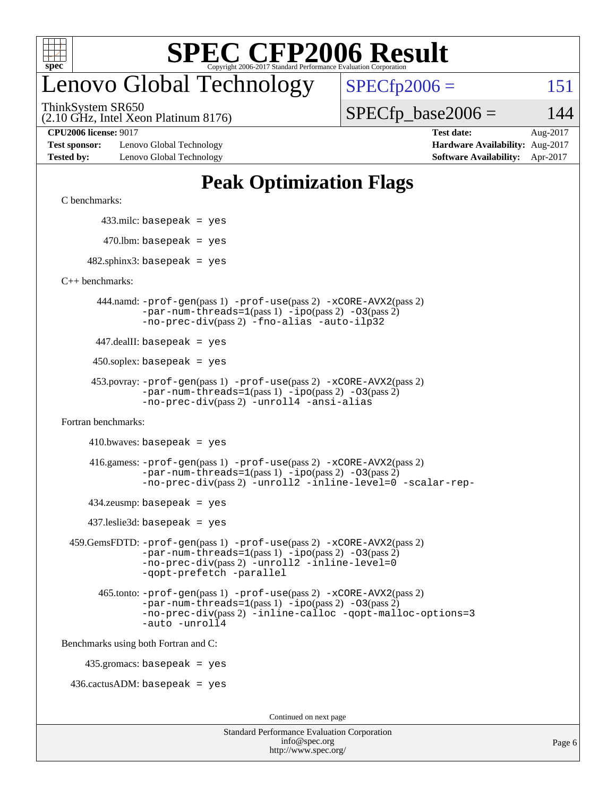

#### enovo Global Technology

ThinkSystem SR650

 $SPECTp2006 = 151$ 

(2.10 GHz, Intel Xeon Platinum 8176)

 $SPECTp\_base2006 = 144$ 

**[Test sponsor:](http://www.spec.org/auto/cpu2006/Docs/result-fields.html#Testsponsor)** Lenovo Global Technology **[Hardware Availability:](http://www.spec.org/auto/cpu2006/Docs/result-fields.html#HardwareAvailability)** Aug-2017 **[Tested by:](http://www.spec.org/auto/cpu2006/Docs/result-fields.html#Testedby)** Lenovo Global Technology **[Software Availability:](http://www.spec.org/auto/cpu2006/Docs/result-fields.html#SoftwareAvailability)** Apr-2017

**[CPU2006 license:](http://www.spec.org/auto/cpu2006/Docs/result-fields.html#CPU2006license)** 9017 **[Test date:](http://www.spec.org/auto/cpu2006/Docs/result-fields.html#Testdate)** Aug-2017

#### **[Peak Optimization Flags](http://www.spec.org/auto/cpu2006/Docs/result-fields.html#PeakOptimizationFlags)**

[C benchmarks](http://www.spec.org/auto/cpu2006/Docs/result-fields.html#Cbenchmarks):

433.milc: basepeak = yes

 $470.$ lbm: basepeak = yes

 $482$ .sphinx3: basepeak = yes

[C++ benchmarks:](http://www.spec.org/auto/cpu2006/Docs/result-fields.html#CXXbenchmarks)

 444.namd: [-prof-gen](http://www.spec.org/cpu2006/results/res2017q4/cpu2006-20170918-49803.flags.html#user_peakPASS1_CXXFLAGSPASS1_LDFLAGS444_namd_prof_gen_e43856698f6ca7b7e442dfd80e94a8fc)(pass 1) [-prof-use](http://www.spec.org/cpu2006/results/res2017q4/cpu2006-20170918-49803.flags.html#user_peakPASS2_CXXFLAGSPASS2_LDFLAGS444_namd_prof_use_bccf7792157ff70d64e32fe3e1250b55)(pass 2) [-xCORE-AVX2](http://www.spec.org/cpu2006/results/res2017q4/cpu2006-20170918-49803.flags.html#user_peakPASS2_CXXFLAGSPASS2_LDFLAGS444_namd_f-xCORE-AVX2)(pass 2)  $-par-num-threads=1(pass 1) -ipo(pass 2) -O3(pass 2)$  $-par-num-threads=1(pass 1) -ipo(pass 2) -O3(pass 2)$  $-par-num-threads=1(pass 1) -ipo(pass 2) -O3(pass 2)$  $-par-num-threads=1(pass 1) -ipo(pass 2) -O3(pass 2)$  $-par-num-threads=1(pass 1) -ipo(pass 2) -O3(pass 2)$  $-par-num-threads=1(pass 1) -ipo(pass 2) -O3(pass 2)$ [-no-prec-div](http://www.spec.org/cpu2006/results/res2017q4/cpu2006-20170918-49803.flags.html#user_peakPASS2_CXXFLAGSPASS2_LDFLAGS444_namd_f-no-prec-div)(pass 2) [-fno-alias](http://www.spec.org/cpu2006/results/res2017q4/cpu2006-20170918-49803.flags.html#user_peakCXXOPTIMIZEOPTIMIZE444_namd_f-no-alias_694e77f6c5a51e658e82ccff53a9e63a) [-auto-ilp32](http://www.spec.org/cpu2006/results/res2017q4/cpu2006-20170918-49803.flags.html#user_peakCXXOPTIMIZE444_namd_f-auto-ilp32)

447.dealII: basepeak = yes

 $450$ .soplex: basepeak = yes

```
 453.povray: -prof-gen(pass 1) -prof-use(pass 2) -xCORE-AVX2(pass 2)
         -par-num-threads=1-ipo-O3(pass 2)-no-prec-div(pass 2) -unroll4 -ansi-alias
```
[Fortran benchmarks](http://www.spec.org/auto/cpu2006/Docs/result-fields.html#Fortranbenchmarks):

 $410.bwaves: basepeak = yes$ 

 416.gamess: [-prof-gen](http://www.spec.org/cpu2006/results/res2017q4/cpu2006-20170918-49803.flags.html#user_peakPASS1_FFLAGSPASS1_LDFLAGS416_gamess_prof_gen_e43856698f6ca7b7e442dfd80e94a8fc)(pass 1) [-prof-use](http://www.spec.org/cpu2006/results/res2017q4/cpu2006-20170918-49803.flags.html#user_peakPASS2_FFLAGSPASS2_LDFLAGS416_gamess_prof_use_bccf7792157ff70d64e32fe3e1250b55)(pass 2) [-xCORE-AVX2](http://www.spec.org/cpu2006/results/res2017q4/cpu2006-20170918-49803.flags.html#user_peakPASS2_FFLAGSPASS2_LDFLAGS416_gamess_f-xCORE-AVX2)(pass 2)  $-par-num-threads=1(pass 1) -ipo(pass 2) -O3(pass 2)$  $-par-num-threads=1(pass 1) -ipo(pass 2) -O3(pass 2)$  $-par-num-threads=1(pass 1) -ipo(pass 2) -O3(pass 2)$  $-par-num-threads=1(pass 1) -ipo(pass 2) -O3(pass 2)$  $-par-num-threads=1(pass 1) -ipo(pass 2) -O3(pass 2)$  $-par-num-threads=1(pass 1) -ipo(pass 2) -O3(pass 2)$ [-no-prec-div](http://www.spec.org/cpu2006/results/res2017q4/cpu2006-20170918-49803.flags.html#user_peakPASS2_FFLAGSPASS2_LDFLAGS416_gamess_f-no-prec-div)(pass 2) [-unroll2](http://www.spec.org/cpu2006/results/res2017q4/cpu2006-20170918-49803.flags.html#user_peakOPTIMIZE416_gamess_f-unroll_784dae83bebfb236979b41d2422d7ec2) [-inline-level=0](http://www.spec.org/cpu2006/results/res2017q4/cpu2006-20170918-49803.flags.html#user_peakOPTIMIZE416_gamess_f-inline-level_318d07a09274ad25e8d15dbfaa68ba50) [-scalar-rep-](http://www.spec.org/cpu2006/results/res2017q4/cpu2006-20170918-49803.flags.html#user_peakOPTIMIZE416_gamess_f-disablescalarrep_abbcad04450fb118e4809c81d83c8a1d)

 $434$ .zeusmp: basepeak = yes

437.leslie3d: basepeak = yes

```
 459.GemsFDTD: -prof-gen(pass 1) -prof-use(pass 2) -xCORE-AVX2(pass 2)
            -par-num-threads=1-ipo-O3(pass 2)-no-prec-div(pass 2) -unroll2 -inline-level=0
            -qopt-prefetch -parallel
```
 465.tonto: [-prof-gen](http://www.spec.org/cpu2006/results/res2017q4/cpu2006-20170918-49803.flags.html#user_peakPASS1_FFLAGSPASS1_LDFLAGS465_tonto_prof_gen_e43856698f6ca7b7e442dfd80e94a8fc)(pass 1) [-prof-use](http://www.spec.org/cpu2006/results/res2017q4/cpu2006-20170918-49803.flags.html#user_peakPASS2_FFLAGSPASS2_LDFLAGS465_tonto_prof_use_bccf7792157ff70d64e32fe3e1250b55)(pass 2) [-xCORE-AVX2](http://www.spec.org/cpu2006/results/res2017q4/cpu2006-20170918-49803.flags.html#user_peakPASS2_FFLAGSPASS2_LDFLAGS465_tonto_f-xCORE-AVX2)(pass 2)  $-par-num-threads=1(pass 1) -ipo(pass 2) -O3(pass 2)$  $-par-num-threads=1(pass 1) -ipo(pass 2) -O3(pass 2)$  $-par-num-threads=1(pass 1) -ipo(pass 2) -O3(pass 2)$  $-par-num-threads=1(pass 1) -ipo(pass 2) -O3(pass 2)$  $-par-num-threads=1(pass 1) -ipo(pass 2) -O3(pass 2)$  $-par-num-threads=1(pass 1) -ipo(pass 2) -O3(pass 2)$ [-no-prec-div](http://www.spec.org/cpu2006/results/res2017q4/cpu2006-20170918-49803.flags.html#user_peakPASS2_FFLAGSPASS2_LDFLAGS465_tonto_f-no-prec-div)(pass 2) [-inline-calloc](http://www.spec.org/cpu2006/results/res2017q4/cpu2006-20170918-49803.flags.html#user_peakOPTIMIZE465_tonto_f-inline-calloc) [-qopt-malloc-options=3](http://www.spec.org/cpu2006/results/res2017q4/cpu2006-20170918-49803.flags.html#user_peakOPTIMIZE465_tonto_f-qopt-malloc-options_0fcb435012e78f27d57f473818e45fe4) [-auto](http://www.spec.org/cpu2006/results/res2017q4/cpu2006-20170918-49803.flags.html#user_peakOPTIMIZE465_tonto_f-auto) [-unroll4](http://www.spec.org/cpu2006/results/res2017q4/cpu2006-20170918-49803.flags.html#user_peakOPTIMIZE465_tonto_f-unroll_4e5e4ed65b7fd20bdcd365bec371b81f)

[Benchmarks using both Fortran and C](http://www.spec.org/auto/cpu2006/Docs/result-fields.html#BenchmarksusingbothFortranandC):

435.gromacs: basepeak = yes

 $436.cactusADM:basepeak = yes$ 

Continued on next page

| <b>Standard Performance Evaluation Corporation</b> |
|----------------------------------------------------|
| info@spec.org                                      |
| http://www.spec.org/                               |